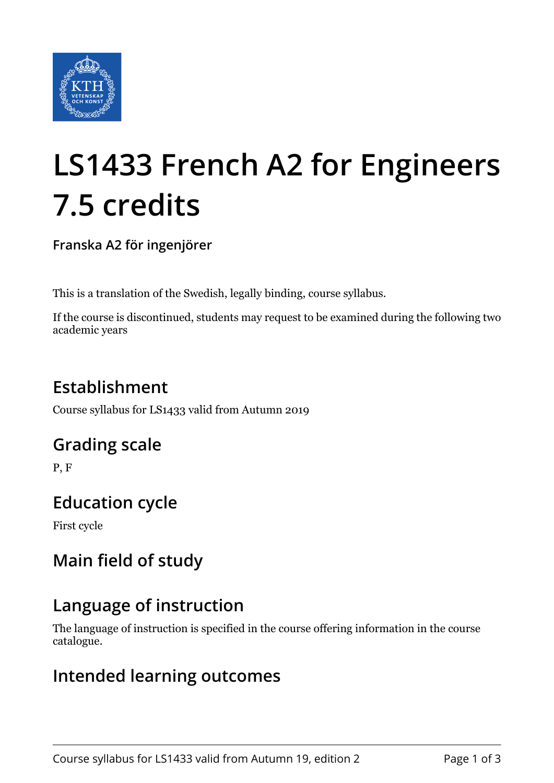

# **LS1433 French A2 for Engineers 7.5 credits**

**Franska A2 för ingenjörer**

This is a translation of the Swedish, legally binding, course syllabus.

If the course is discontinued, students may request to be examined during the following two academic years

## **Establishment**

Course syllabus for LS1433 valid from Autumn 2019

#### **Grading scale**

P, F

#### **Education cycle**

First cycle

### **Main field of study**

#### **Language of instruction**

The language of instruction is specified in the course offering information in the course catalogue.

#### **Intended learning outcomes**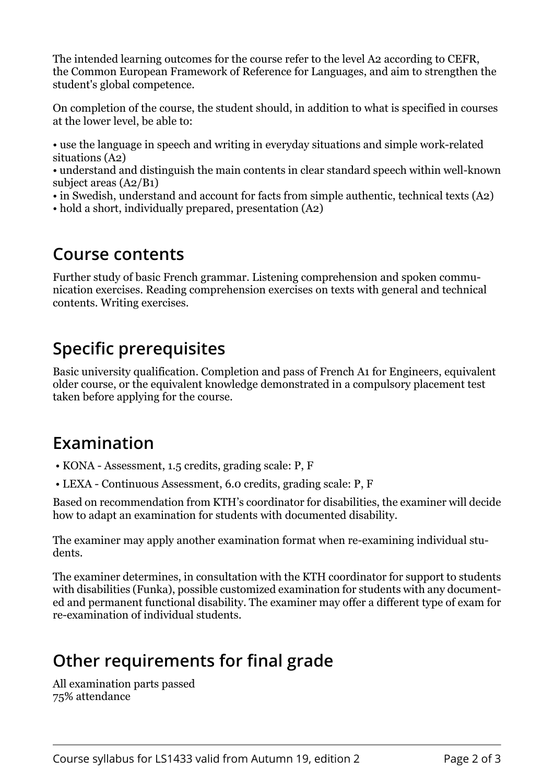The intended learning outcomes for the course refer to the level A2 according to CEFR, the Common European Framework of Reference for Languages, and aim to strengthen the student's global competence.

On completion of the course, the student should, in addition to what is specified in courses at the lower level, be able to:

• use the language in speech and writing in everyday situations and simple work-related situations (A2)

• understand and distinguish the main contents in clear standard speech within well-known subject areas (A2/B1)

- in Swedish, understand and account for facts from simple authentic, technical texts (A2)
- hold a short, individually prepared, presentation (A2)

#### **Course contents**

Further study of basic French grammar. Listening comprehension and spoken communication exercises. Reading comprehension exercises on texts with general and technical contents. Writing exercises.

#### **Specific prerequisites**

Basic university qualification. Completion and pass of French A1 for Engineers, equivalent older course, or the equivalent knowledge demonstrated in a compulsory placement test taken before applying for the course.

#### **Examination**

- KONA Assessment, 1.5 credits, grading scale: P, F
- LEXA Continuous Assessment, 6.0 credits, grading scale: P, F

Based on recommendation from KTH's coordinator for disabilities, the examiner will decide how to adapt an examination for students with documented disability.

The examiner may apply another examination format when re-examining individual students.

The examiner determines, in consultation with the KTH coordinator for support to students with disabilities (Funka), possible customized examination for students with any documented and permanent functional disability. The examiner may offer a different type of exam for re-examination of individual students.

### **Other requirements for final grade**

All examination parts passed 75% attendance